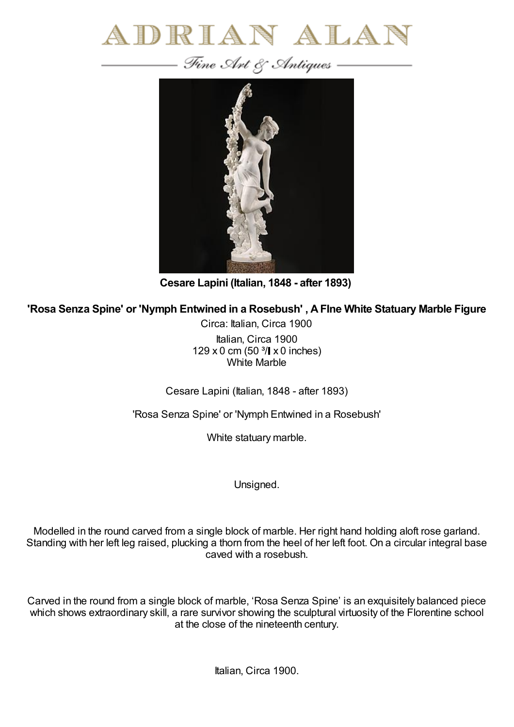



**Cesare Lapini (Italian, 1848 - after 1893)**

**'Rosa Senza Spine' or 'Nymph Entwined in a Rosebush' , AFIne White Statuary Marble Figure**

Circa: Italian, Circa 1900 Italian, Circa 1900  $129 \times 0$  cm (50  $3/$  x 0 inches) White Marble

Cesare Lapini (Italian, 1848 - after 1893)

'Rosa Senza Spine' or 'Nymph Entwined in a Rosebush'

White statuary marble.

Unsigned.

Modelled in the round carved from a single block of marble. Her right hand holding aloft rose garland. Standing with her left leg raised, plucking a thorn from the heel of her left foot. On a circular integral base caved with a rosebush.

Carved in the round from a single block of marble, 'Rosa Senza Spine' is an exquisitely balanced piece which shows extraordinary skill, a rare survivor showing the sculptural virtuosity of the Florentine school at the close of the nineteenth century.

Italian, Circa 1900.